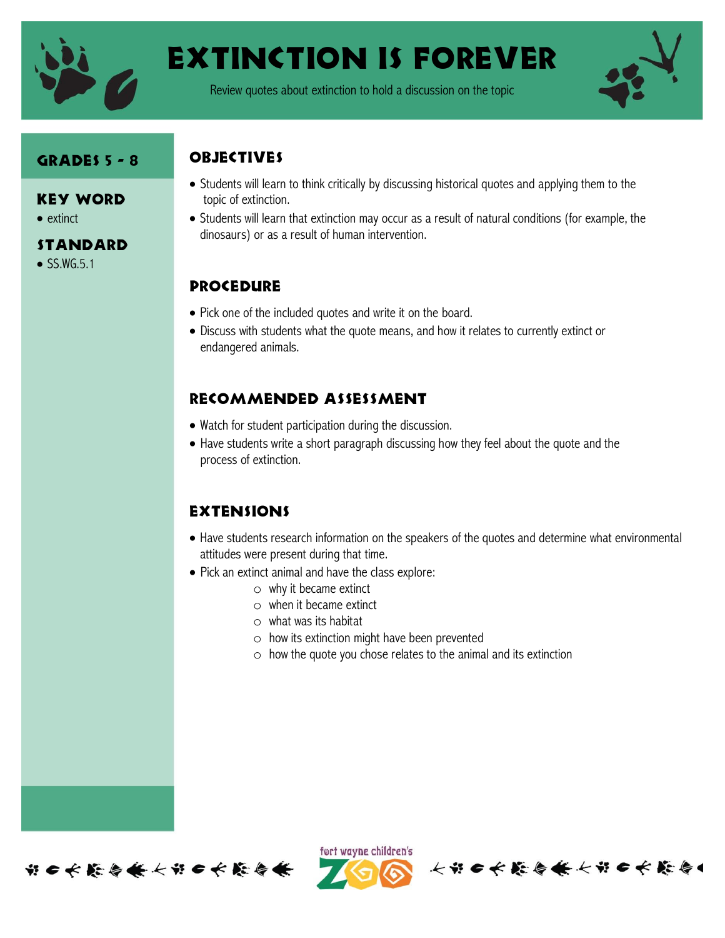

# Extinction is forever

Review quotes about extinction to hold a discussion on the topic



#### Grades 5 - 8

#### Key Word

- extinct
- **STANDARD**
- $\bullet$  SS.WG.5.1

## **OBJECTIVES**

- Students will learn to think critically by discussing historical quotes and applying them to the topic of extinction.
- Students will learn that extinction may occur as a result of natural conditions (for example, the dinosaurs) or as a result of human intervention.

### **PROCEDURE**

- Pick one of the included quotes and write it on the board.
- Discuss with students what the quote means, and how it relates to currently extinct or endangered animals.

### Recommended assessment

- Watch for student participation during the discussion.
- Have students write a short paragraph discussing how they feel about the quote and the process of extinction.

#### **EXTENSIONS**

- Have students research information on the speakers of the quotes and determine what environmental attitudes were present during that time.
- Pick an extinct animal and have the class explore:
	- o why it became extinct
	- o when it became extinct
	- $\circ$  what was its habitat
	- o how its extinction might have been prevented
	- o how the quote you chose relates to the animal and its extinction